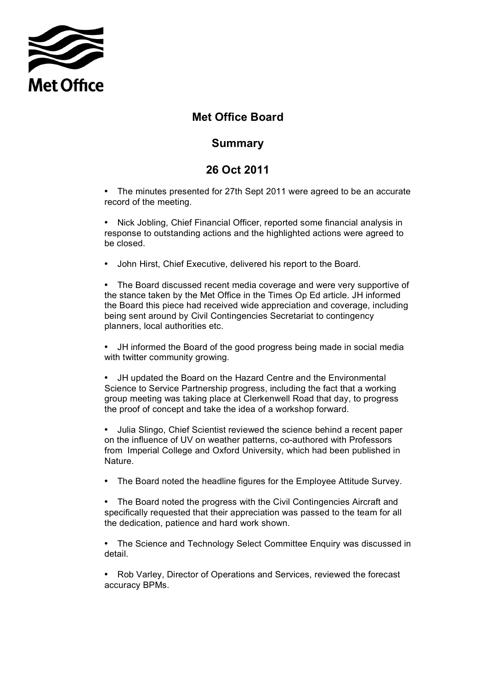

## **Met Office Board**

## **Summary**

## **26 Oct 2011**

 • The minutes presented for 27th Sept 2011 were agreed to be an accurate record of the meeting.

 • Nick Jobling, Chief Financial Officer, reported some financial analysis in response to outstanding actions and the highlighted actions were agreed to be closed.

• John Hirst, Chief Executive, delivered his report to the Board.

 • The Board discussed recent media coverage and were very supportive of the stance taken by the Met Office in the Times Op Ed article. JH informed being sent around by Civil Contingencies Secretariat to contingency planners, local authorities etc. the Board this piece had received wide appreciation and coverage, including

 • JH informed the Board of the good progress being made in social media with twitter community growing.

 • JH updated the Board on the Hazard Centre and the Environmental Science to Service Partnership progress, including the fact that a working group meeting was taking place at Clerkenwell Road that day, to progress the proof of concept and take the idea of a workshop forward.

 • Julia Slingo, Chief Scientist reviewed the science behind a recent paper on the influence of UV on weather patterns, co-authored with Professors from Imperial College and Oxford University, which had been published in Nature.

• The Board noted the headline figures for the Employee Attitude Survey.

 • The Board noted the progress with the Civil Contingencies Aircraft and specifically requested that their appreciation was passed to the team for all the dedication, patience and hard work shown.

 • The Science and Technology Select Committee Enquiry was discussed in detail.

 • Rob Varley, Director of Operations and Services, reviewed the forecast accuracy BPMs.